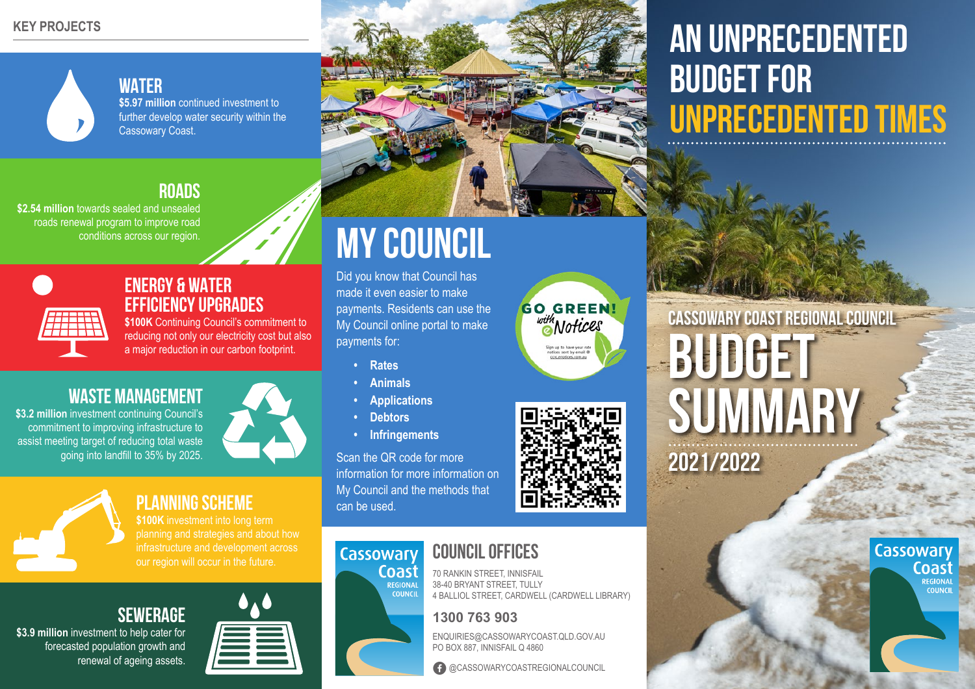#### **KEY PROJECTS**



# **WATER**

**\$5.97 million** continued investment to further develop water security within the Cassowary Coast.

# **ROADS**

**\$2.54 million** towards sealed and unsealed roads renewal program to improve road conditions across our region.



### **ENERGY & WATER EFFICIENCY UPGRADES**

\$100K Continuing Council's commitment to reducing not only our electricity cost but also a major reduction in our carbon footprint.

# **WASTE MANAGEMENT**

**\$3.2 million** investment continuing Council's commitment to improving infrastructure to assist meeting target of reducing total waste going into landfill to 35% by 2025.



# **PLANNING SCHEME**

**\$100K** investment into long term planning and strategies and about how infrastructure and development across our region will occur in the future.





**\$3.9 million** investment to help cater for forecasted population growth and renewal of ageing assets.



# **MY COUNCIL**

Did you know that Council has made it even easier to make payments. Residents can use the My Council online portal to make payments for:

- **• Rates**
- **• Animals**
- **• Applications**
- **• Debtors**

Cassowary

Coast

REGIONAL

**COUNCIL** 

**• Infringements**

Scan the QR code for more information for more information on My Council and the methods that can be used.

# **COUNCIL OFFICES**

70 RANKIN STREET, INNISFAIL 38-40 BRYANT STREET, TULLY 4 BALLIOL STREET, CARDWELL (CARDWELL LIBRARY)

### **1300 763 903**

ENQUIRIES@CASSOWARYCOAST.QLD.GOV.AU PO BOX 887, INNISFAIL Q 4860

G @CASSOWARYCOASTREGIONALCOUNCIL

# **AN UNPRECEDENTED BUDGET FOR UNPRECEDENTED TIMES**





**Cassowary Coast Regional Council BUDGET SUMMARY 2021/2022**

Cassowary

Coast

REGIONA

**COUNCH**